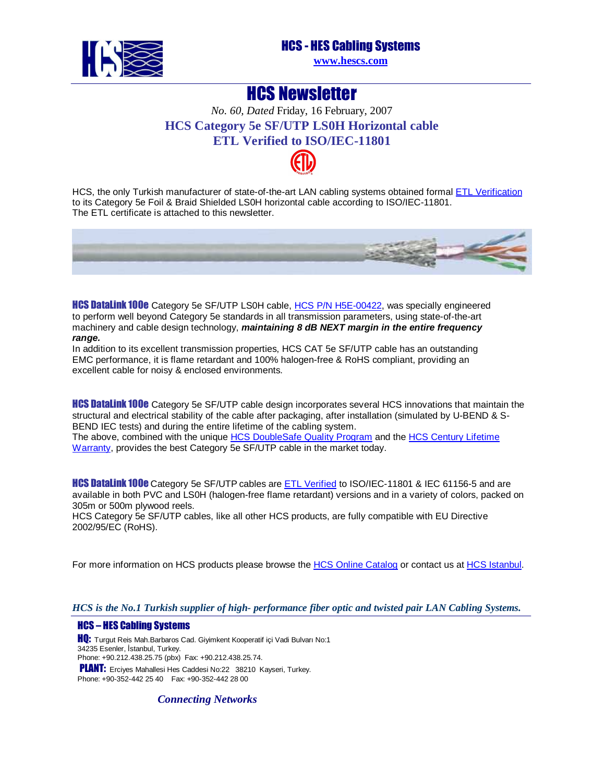

### HCS - HES Cabling Systems

**[www.hescs.com](http://www.hescs.com/)**

## HCS Newsletter

*No. 60, Dated* Friday, 16 February, 2007 **HCS Category 5e SF/UTP LS0H Horizontal cable ETL Verifie[d to ISO](http://www.intertek-etlsemko.com/portal/page?_pageid=34111603&_dad=cust_portal&_schema=CUST_PORTAL)/IEC-11801** 

HCS, the only Turkish manufacturer of state-of-the-art LAN cabling systems obtained formal [ETL Verification](http://www.intertek-etlsemko.com/portal/page?_pageid=34111603&_dad=cust_portal&_schema=CUST_PORTAL) to its Category 5e Foil & Braid Shielded LS0H horizontal cable according to ISO/IEC-11801. The ETL certificate is attached to this newsletter.



**HCS DataLink 100e** Category 5e SF/UTP L[S0H cable, HCS P/N H5E-00422,](http://www.hescs.com/katalogen/?dosya=50.htm) was specially engineered to perform well beyond Category 5e standards in all transmission parameters, using state-of-the-art machinery and cable design technology, **maintaining 8 dB NEXT margin in the entire frequency range.** 

In addition to its excellent transmission properties, HCS CAT 5e SF/UTP cable has an outstanding EMC performance, it is flame retardant and 100% halogen-free & RoHS compliant, providing an excellent cable for noisy & enclosed environments.

**HCS DataLink 100e** Category 5e SF/UTP cable design incorporates several HCS innovations that maintain the structural and electrical stability of the cable after packaging, after installation (simulated by U-BEND & S-BEND IEC tests) and during the entire lifetime of the cabling system.

The above, combined with the uniq[ue HCS DoubleSafe Quality Program a](http://hescs.com/eng/?s=quality.htm)nd the [HCS Century Lifetime](http://hescs.com/eng/?s=warranty.htm)  Warranty, provides the best Category 5e SF/UTP cable in the market today.

**HCS DataLink 100e** Category 5e SF/UTP cables are **ETL Verified** to ISO/IEC-11801 & IEC 61156-5 and are available in both PVC and LS0H (halogen-free flame retardant) versions and in a variety of colors, packed on 305m or 500m plywood reels.

HCS Category 5e SF/UTP cables, like all other HCS products, are fully compatible with EU Directive 2002/95/EC (RoHS).

For more information on HCS products please browse th[e HCS Online Catalog or](http://hescs.com/katalogen/) contact us at HCS Istanbul.

#### *HCS is the No.1 Turkish supplier of high- performance fiber optic and twisted pair LAN Cabling Systems.*

#### HCS – HES Cabling Systems

**HQ:** Turgut Reis Mah.Barbaros Cad. Giyimkent Kooperatif içi Vadi Bulvarı No:1 34235 Esenler, İstanbul, Turkey. Phone: +90.212.438.25.75 (pbx) Fax: +90.212.438.25.74.

PLANT: Erciyes Mahallesi Hes Caddesi No:22 38210 Kayseri, Turkey. Phone: +90-352-442 25 40 Fax: +90-352-442 28 00

*Connecting Networks*